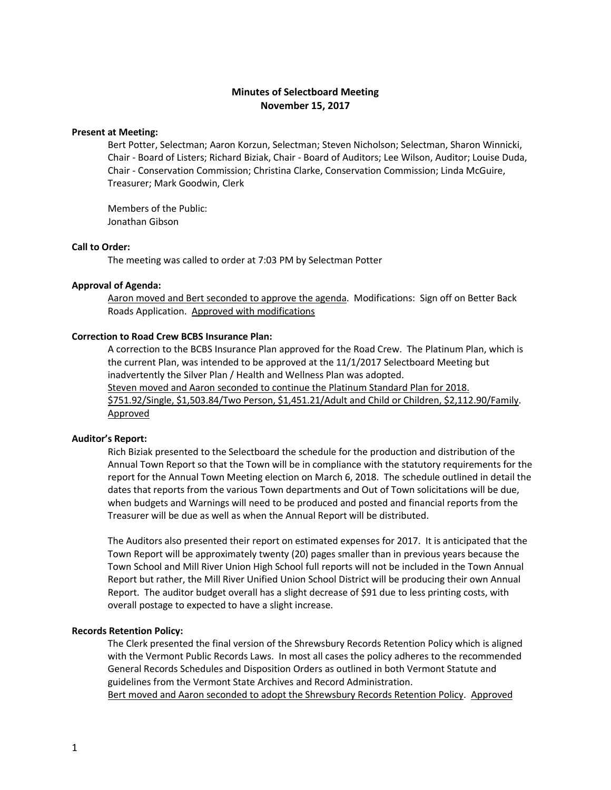# **Minutes of Selectboard Meeting November 15, 2017**

## **Present at Meeting:**

Bert Potter, Selectman; Aaron Korzun, Selectman; Steven Nicholson; Selectman, Sharon Winnicki, Chair - Board of Listers; Richard Biziak, Chair - Board of Auditors; Lee Wilson, Auditor; Louise Duda, Chair - Conservation Commission; Christina Clarke, Conservation Commission; Linda McGuire, Treasurer; Mark Goodwin, Clerk

Members of the Public: Jonathan Gibson

### **Call to Order:**

The meeting was called to order at 7:03 PM by Selectman Potter

## **Approval of Agenda:**

Aaron moved and Bert seconded to approve the agenda. Modifications: Sign off on Better Back Roads Application. Approved with modifications

## **Correction to Road Crew BCBS Insurance Plan:**

A correction to the BCBS Insurance Plan approved for the Road Crew. The Platinum Plan, which is the current Plan, was intended to be approved at the 11/1/2017 Selectboard Meeting but inadvertently the Silver Plan / Health and Wellness Plan was adopted.

Steven moved and Aaron seconded to continue the Platinum Standard Plan for 2018. \$751.92/Single, \$1,503.84/Two Person, \$1,451.21/Adult and Child or Children, \$2,112.90/Family. Approved

## **Auditor's Report:**

Rich Biziak presented to the Selectboard the schedule for the production and distribution of the Annual Town Report so that the Town will be in compliance with the statutory requirements for the report for the Annual Town Meeting election on March 6, 2018. The schedule outlined in detail the dates that reports from the various Town departments and Out of Town solicitations will be due, when budgets and Warnings will need to be produced and posted and financial reports from the Treasurer will be due as well as when the Annual Report will be distributed.

The Auditors also presented their report on estimated expenses for 2017. It is anticipated that the Town Report will be approximately twenty (20) pages smaller than in previous years because the Town School and Mill River Union High School full reports will not be included in the Town Annual Report but rather, the Mill River Unified Union School District will be producing their own Annual Report. The auditor budget overall has a slight decrease of \$91 due to less printing costs, with overall postage to expected to have a slight increase.

#### **Records Retention Policy:**

The Clerk presented the final version of the Shrewsbury Records Retention Policy which is aligned with the Vermont Public Records Laws. In most all cases the policy adheres to the recommended General Records Schedules and Disposition Orders as outlined in both Vermont Statute and guidelines from the Vermont State Archives and Record Administration.

Bert moved and Aaron seconded to adopt the Shrewsbury Records Retention Policy. Approved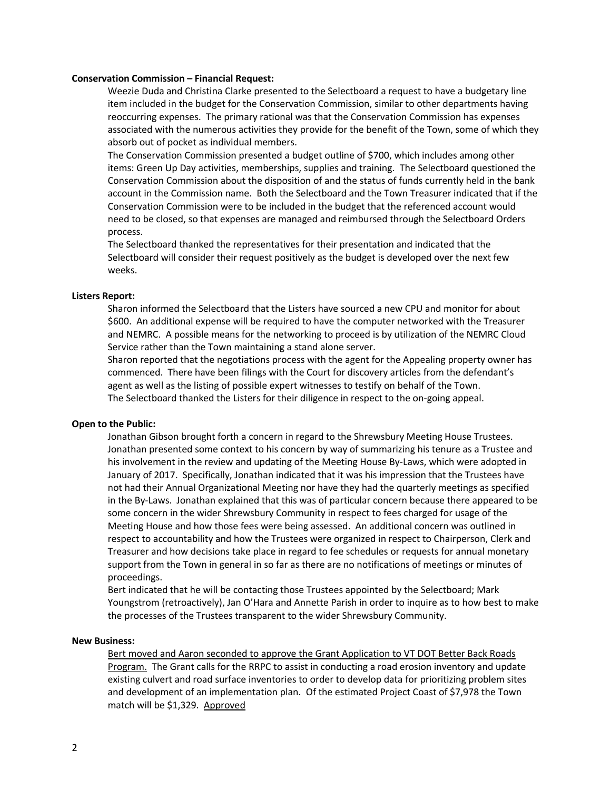#### **Conservation Commission – Financial Request:**

Weezie Duda and Christina Clarke presented to the Selectboard a request to have a budgetary line item included in the budget for the Conservation Commission, similar to other departments having reoccurring expenses. The primary rational was that the Conservation Commission has expenses associated with the numerous activities they provide for the benefit of the Town, some of which they absorb out of pocket as individual members.

The Conservation Commission presented a budget outline of \$700, which includes among other items: Green Up Day activities, memberships, supplies and training. The Selectboard questioned the Conservation Commission about the disposition of and the status of funds currently held in the bank account in the Commission name. Both the Selectboard and the Town Treasurer indicated that if the Conservation Commission were to be included in the budget that the referenced account would need to be closed, so that expenses are managed and reimbursed through the Selectboard Orders process.

The Selectboard thanked the representatives for their presentation and indicated that the Selectboard will consider their request positively as the budget is developed over the next few weeks.

### **Listers Report:**

Sharon informed the Selectboard that the Listers have sourced a new CPU and monitor for about \$600. An additional expense will be required to have the computer networked with the Treasurer and NEMRC. A possible means for the networking to proceed is by utilization of the NEMRC Cloud Service rather than the Town maintaining a stand alone server.

Sharon reported that the negotiations process with the agent for the Appealing property owner has commenced. There have been filings with the Court for discovery articles from the defendant's agent as well as the listing of possible expert witnesses to testify on behalf of the Town. The Selectboard thanked the Listers for their diligence in respect to the on-going appeal.

#### **Open to the Public:**

Jonathan Gibson brought forth a concern in regard to the Shrewsbury Meeting House Trustees. Jonathan presented some context to his concern by way of summarizing his tenure as a Trustee and his involvement in the review and updating of the Meeting House By-Laws, which were adopted in January of 2017. Specifically, Jonathan indicated that it was his impression that the Trustees have not had their Annual Organizational Meeting nor have they had the quarterly meetings as specified in the By-Laws. Jonathan explained that this was of particular concern because there appeared to be some concern in the wider Shrewsbury Community in respect to fees charged for usage of the Meeting House and how those fees were being assessed. An additional concern was outlined in respect to accountability and how the Trustees were organized in respect to Chairperson, Clerk and Treasurer and how decisions take place in regard to fee schedules or requests for annual monetary support from the Town in general in so far as there are no notifications of meetings or minutes of proceedings.

Bert indicated that he will be contacting those Trustees appointed by the Selectboard; Mark Youngstrom (retroactively), Jan O'Hara and Annette Parish in order to inquire as to how best to make the processes of the Trustees transparent to the wider Shrewsbury Community.

## **New Business:**

Bert moved and Aaron seconded to approve the Grant Application to VT DOT Better Back Roads Program. The Grant calls for the RRPC to assist in conducting a road erosion inventory and update existing culvert and road surface inventories to order to develop data for prioritizing problem sites and development of an implementation plan. Of the estimated Project Coast of \$7,978 the Town match will be \$1,329. Approved